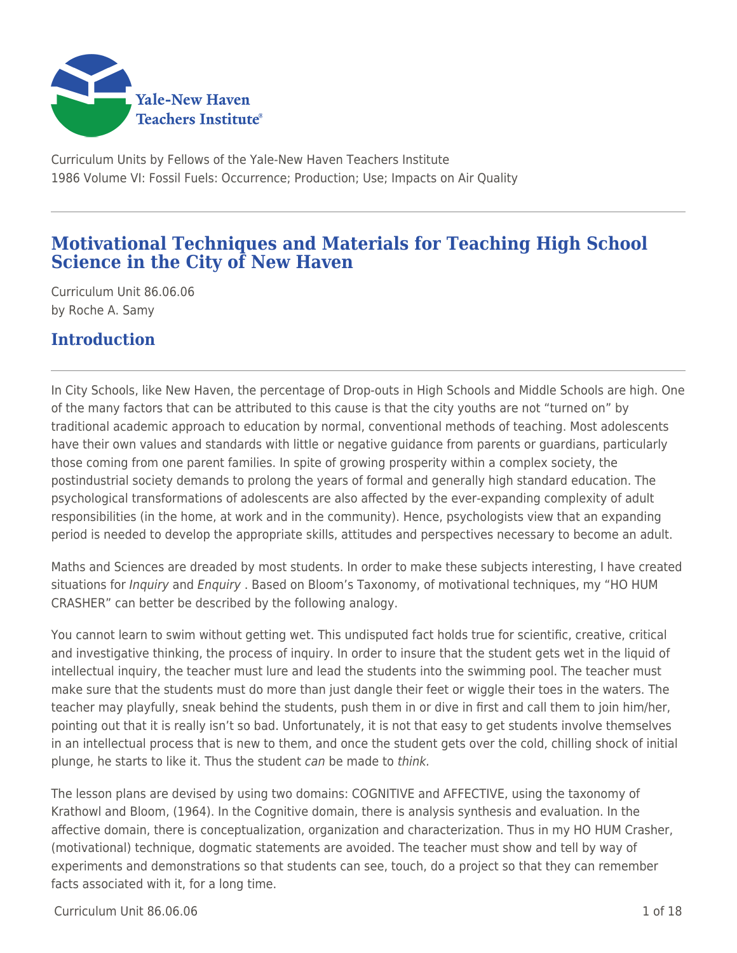

Curriculum Units by Fellows of the Yale-New Haven Teachers Institute 1986 Volume VI: Fossil Fuels: Occurrence; Production; Use; Impacts on Air Quality

# **Motivational Techniques and Materials for Teaching High School Science in the City of New Haven**

Curriculum Unit 86.06.06 by Roche A. Samy

# **Introduction**

In City Schools, like New Haven, the percentage of Drop-outs in High Schools and Middle Schools are high. One of the many factors that can be attributed to this cause is that the city youths are not "turned on" by traditional academic approach to education by normal, conventional methods of teaching. Most adolescents have their own values and standards with little or negative guidance from parents or guardians, particularly those coming from one parent families. In spite of growing prosperity within a complex society, the postindustrial society demands to prolong the years of formal and generally high standard education. The psychological transformations of adolescents are also affected by the ever-expanding complexity of adult responsibilities (in the home, at work and in the community). Hence, psychologists view that an expanding period is needed to develop the appropriate skills, attitudes and perspectives necessary to become an adult.

Maths and Sciences are dreaded by most students. In order to make these subjects interesting, I have created situations for *Inquiry* and *Enquiry* . Based on Bloom's Taxonomy, of motivational techniques, my "HO HUM CRASHER" can better be described by the following analogy.

You cannot learn to swim without getting wet. This undisputed fact holds true for scientific, creative, critical and investigative thinking, the process of inquiry. In order to insure that the student gets wet in the liquid of intellectual inquiry, the teacher must lure and lead the students into the swimming pool. The teacher must make sure that the students must do more than just dangle their feet or wiggle their toes in the waters. The teacher may playfully, sneak behind the students, push them in or dive in first and call them to join him/her, pointing out that it is really isn't so bad. Unfortunately, it is not that easy to get students involve themselves in an intellectual process that is new to them, and once the student gets over the cold, chilling shock of initial plunge, he starts to like it. Thus the student can be made to think.

The lesson plans are devised by using two domains: COGNITIVE and AFFECTIVE, using the taxonomy of Krathowl and Bloom, (1964). In the Cognitive domain, there is analysis synthesis and evaluation. In the affective domain, there is conceptualization, organization and characterization. Thus in my HO HUM Crasher, (motivational) technique, dogmatic statements are avoided. The teacher must show and tell by way of experiments and demonstrations so that students can see, touch, do a project so that they can remember facts associated with it, for a long time.

 $C$ urriculum Unit 86.06.06  $\qquad \qquad$  1.06 18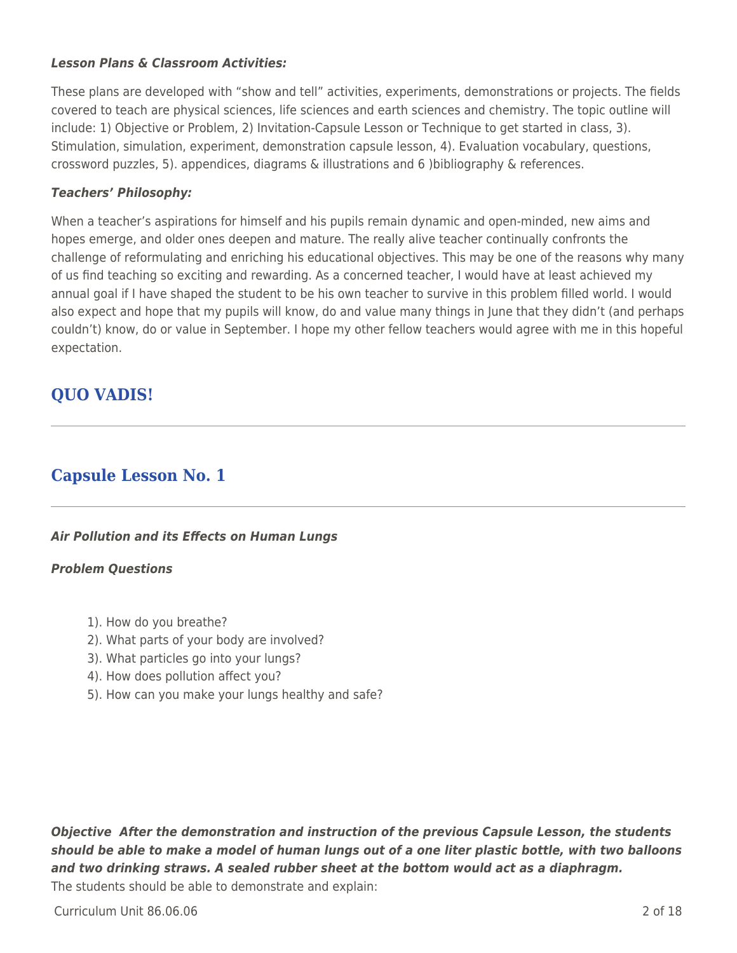### *Lesson Plans & Classroom Activities:*

These plans are developed with "show and tell" activities, experiments, demonstrations or projects. The fields covered to teach are physical sciences, life sciences and earth sciences and chemistry. The topic outline will include: 1) Objective or Problem, 2) Invitation-Capsule Lesson or Technique to get started in class, 3). Stimulation, simulation, experiment, demonstration capsule lesson, 4). Evaluation vocabulary, questions, crossword puzzles, 5). appendices, diagrams & illustrations and 6 )bibliography & references.

### *Teachers' Philosophy:*

When a teacher's aspirations for himself and his pupils remain dynamic and open-minded, new aims and hopes emerge, and older ones deepen and mature. The really alive teacher continually confronts the challenge of reformulating and enriching his educational objectives. This may be one of the reasons why many of us find teaching so exciting and rewarding. As a concerned teacher, I would have at least achieved my annual goal if I have shaped the student to be his own teacher to survive in this problem filled world. I would also expect and hope that my pupils will know, do and value many things in June that they didn't (and perhaps couldn't) know, do or value in September. I hope my other fellow teachers would agree with me in this hopeful expectation.

# **QUO VADIS!**

## **Capsule Lesson No. 1**

### *Air Pollution and its Effects on Human Lungs*

#### *Problem Questions*

- 1). How do you breathe?
- 2). What parts of your body are involved?
- 3). What particles go into your lungs?
- 4). How does pollution affect you?
- 5). How can you make your lungs healthy and safe?

*Objective After the demonstration and instruction of the previous Capsule Lesson, the students should be able to make a model of human lungs out of a one liter plastic bottle, with two balloons and two drinking straws. A sealed rubber sheet at the bottom would act as a diaphragm.* The students should be able to demonstrate and explain:

Curriculum Unit 86.06.06 2 of 18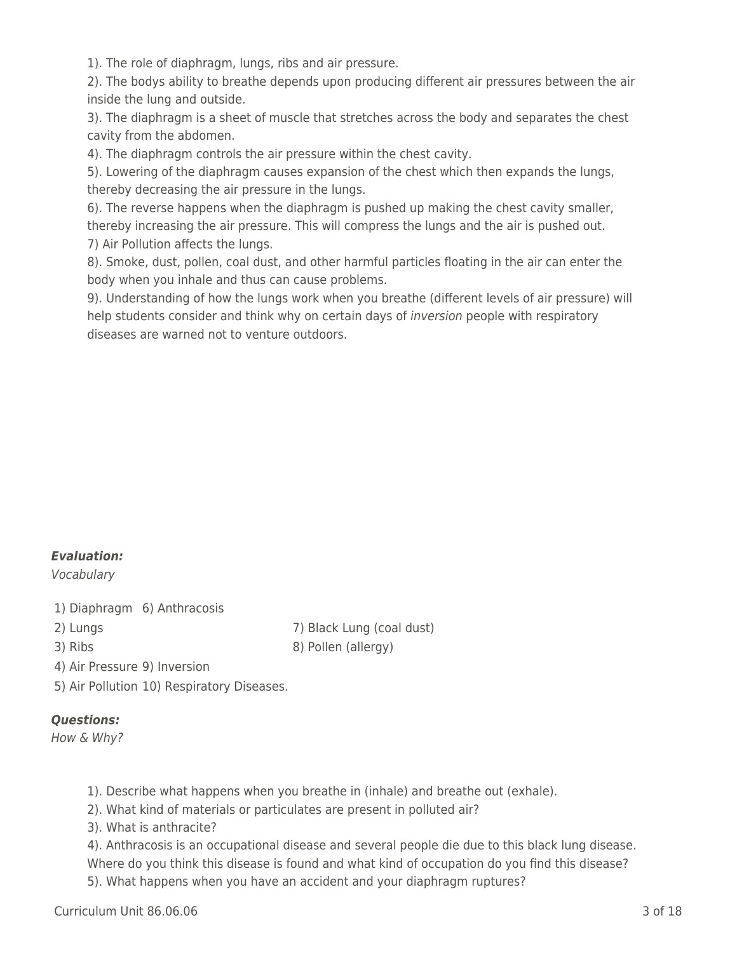1). The role of diaphragm, lungs, ribs and air pressure.

2). The bodys ability to breathe depends upon producing different air pressures between the air inside the lung and outside.

3). The diaphragm is a sheet of muscle that stretches across the body and separates the chest cavity from the abdomen.

4). The diaphragm controls the air pressure within the chest cavity.

5). Lowering of the diaphragm causes expansion of the chest which then expands the lungs, thereby decreasing the air pressure in the lungs.

6). The reverse happens when the diaphragm is pushed up making the chest cavity smaller, thereby increasing the air pressure. This will compress the lungs and the air is pushed out. 7) Air Pollution affects the lungs.

8). Smoke, dust, pollen, coal dust, and other harmful particles floating in the air can enter the body when you inhale and thus can cause problems.

9). Understanding of how the lungs work when you breathe (different levels of air pressure) will help students consider and think why on certain days of *inversion* people with respiratory diseases are warned not to venture outdoors.

### *Evaluation:*

Vocabulary

1) Diaphragm 6) Anthracosis

2) Lungs 20 Eungs 20 Eung (coal dust) 3) Ribs 8) Pollen (allergy)

4) Air Pressure 9) Inversion

5) Air Pollution 10) Respiratory Diseases.

## *Questions:*

How & Why?

- 1). Describe what happens when you breathe in (inhale) and breathe out (exhale).
- 2). What kind of materials or particulates are present in polluted air?
- 3). What is anthracite?

4). Anthracosis is an occupational disease and several people die due to this black lung disease. Where do you think this disease is found and what kind of occupation do you find this disease?

5). What happens when you have an accident and your diaphragm ruptures?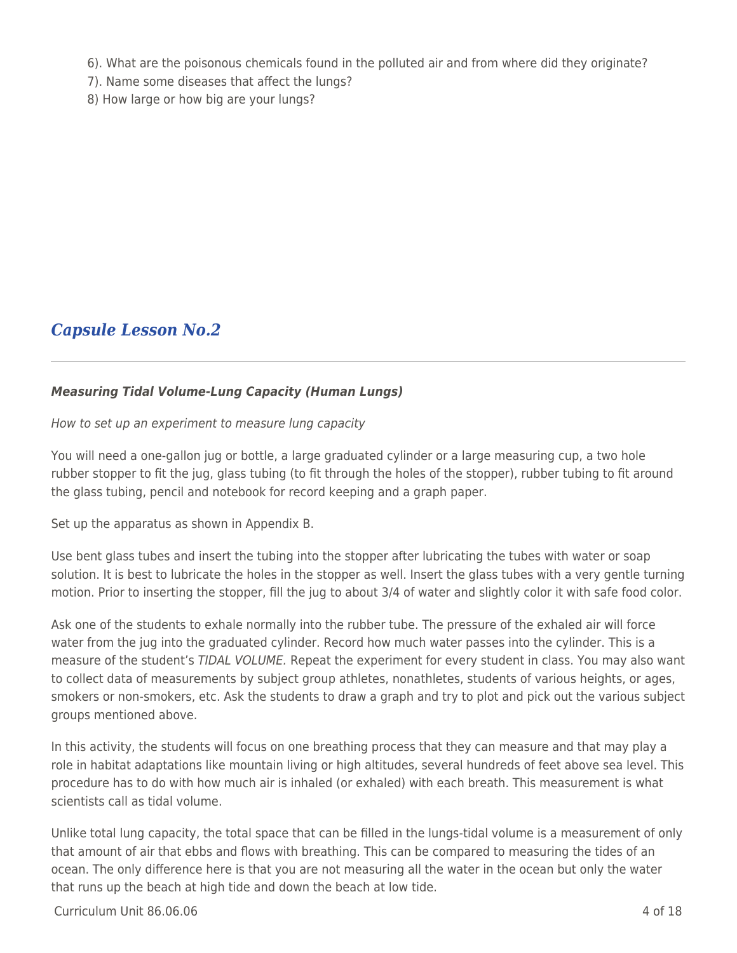6). What are the poisonous chemicals found in the polluted air and from where did they originate?

- 7). Name some diseases that affect the lungs?
- 8) How large or how big are your lungs?

# *Capsule Lesson No.2*

### *Measuring Tidal Volume-Lung Capacity (Human Lungs)*

How to set up an experiment to measure lung capacity

You will need a one-gallon jug or bottle, a large graduated cylinder or a large measuring cup, a two hole rubber stopper to fit the jug, glass tubing (to fit through the holes of the stopper), rubber tubing to fit around the glass tubing, pencil and notebook for record keeping and a graph paper.

Set up the apparatus as shown in Appendix B.

Use bent glass tubes and insert the tubing into the stopper after lubricating the tubes with water or soap solution. It is best to lubricate the holes in the stopper as well. Insert the glass tubes with a very gentle turning motion. Prior to inserting the stopper, fill the jug to about 3/4 of water and slightly color it with safe food color.

Ask one of the students to exhale normally into the rubber tube. The pressure of the exhaled air will force water from the jug into the graduated cylinder. Record how much water passes into the cylinder. This is a measure of the student's TIDAL VOLUME. Repeat the experiment for every student in class. You may also want to collect data of measurements by subject group athletes, nonathletes, students of various heights, or ages, smokers or non-smokers, etc. Ask the students to draw a graph and try to plot and pick out the various subject groups mentioned above.

In this activity, the students will focus on one breathing process that they can measure and that may play a role in habitat adaptations like mountain living or high altitudes, several hundreds of feet above sea level. This procedure has to do with how much air is inhaled (or exhaled) with each breath. This measurement is what scientists call as tidal volume.

Unlike total lung capacity, the total space that can be filled in the lungs-tidal volume is a measurement of only that amount of air that ebbs and flows with breathing. This can be compared to measuring the tides of an ocean. The only difference here is that you are not measuring all the water in the ocean but only the water that runs up the beach at high tide and down the beach at low tide.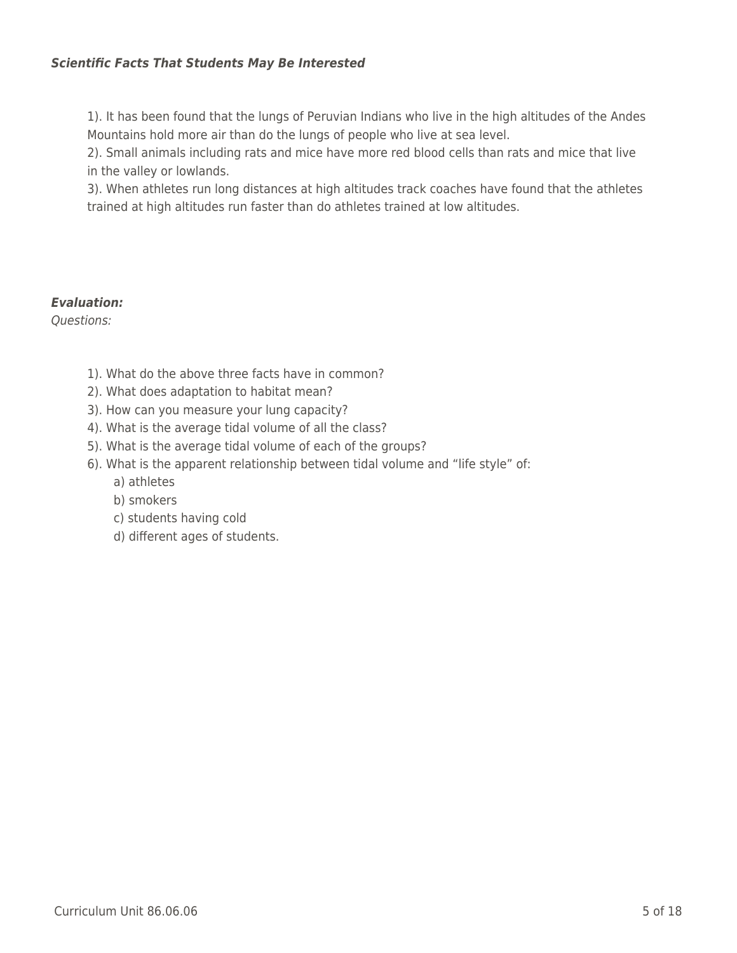### *Scientific Facts That Students May Be Interested*

1). It has been found that the lungs of Peruvian Indians who live in the high altitudes of the Andes Mountains hold more air than do the lungs of people who live at sea level.

2). Small animals including rats and mice have more red blood cells than rats and mice that live in the valley or lowlands.

3). When athletes run long distances at high altitudes track coaches have found that the athletes trained at high altitudes run faster than do athletes trained at low altitudes.

### *Evaluation:*

Questions:

- 1). What do the above three facts have in common?
- 2). What does adaptation to habitat mean?
- 3). How can you measure your lung capacity?
- 4). What is the average tidal volume of all the class?
- 5). What is the average tidal volume of each of the groups?
- 6). What is the apparent relationship between tidal volume and "life style" of:
	- a) athletes
	- \_\_\_\_ b) smokers
	- c) students having cold
	- d) different ages of students.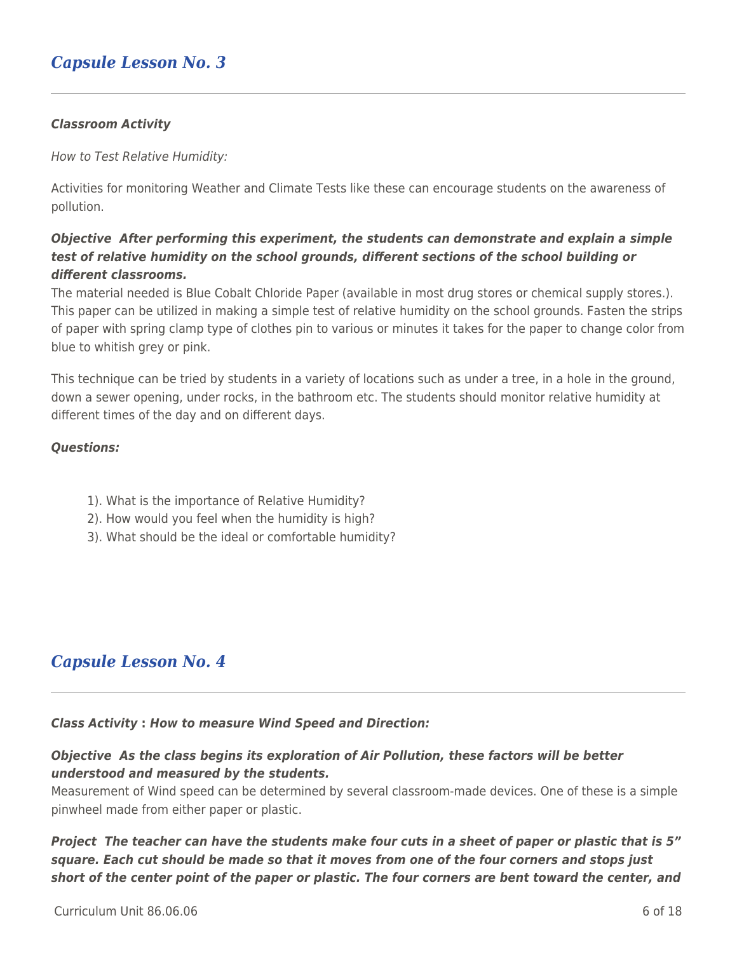## *Capsule Lesson No. 3*

#### *Classroom Activity*

How to Test Relative Humidity:

Activities for monitoring Weather and Climate Tests like these can encourage students on the awareness of pollution.

### *Objective After performing this experiment, the students can demonstrate and explain a simple test of relative humidity on the school grounds, different sections of the school building or different classrooms.*

The material needed is Blue Cobalt Chloride Paper (available in most drug stores or chemical supply stores.). This paper can be utilized in making a simple test of relative humidity on the school grounds. Fasten the strips of paper with spring clamp type of clothes pin to various or minutes it takes for the paper to change color from blue to whitish grey or pink.

This technique can be tried by students in a variety of locations such as under a tree, in a hole in the ground, down a sewer opening, under rocks, in the bathroom etc. The students should monitor relative humidity at different times of the day and on different days.

#### *Questions:*

- 1). What is the importance of Relative Humidity?
- 2). How would you feel when the humidity is high?
- 3). What should be the ideal or comfortable humidity?

## *Capsule Lesson No. 4*

#### *Class Activity* **:** *How to measure Wind Speed and Direction:*

### *Objective As the class begins its exploration of Air Pollution, these factors will be better understood and measured by the students.*

Measurement of Wind speed can be determined by several classroom-made devices. One of these is a simple pinwheel made from either paper or plastic.

*Project The teacher can have the students make four cuts in a sheet of paper or plastic that is 5" square. Each cut should be made so that it moves from one of the four corners and stops just short of the center point of the paper or plastic. The four corners are bent toward the center, and*

 $C$ urriculum Unit 86.06.06  $\overline{6}$  of 18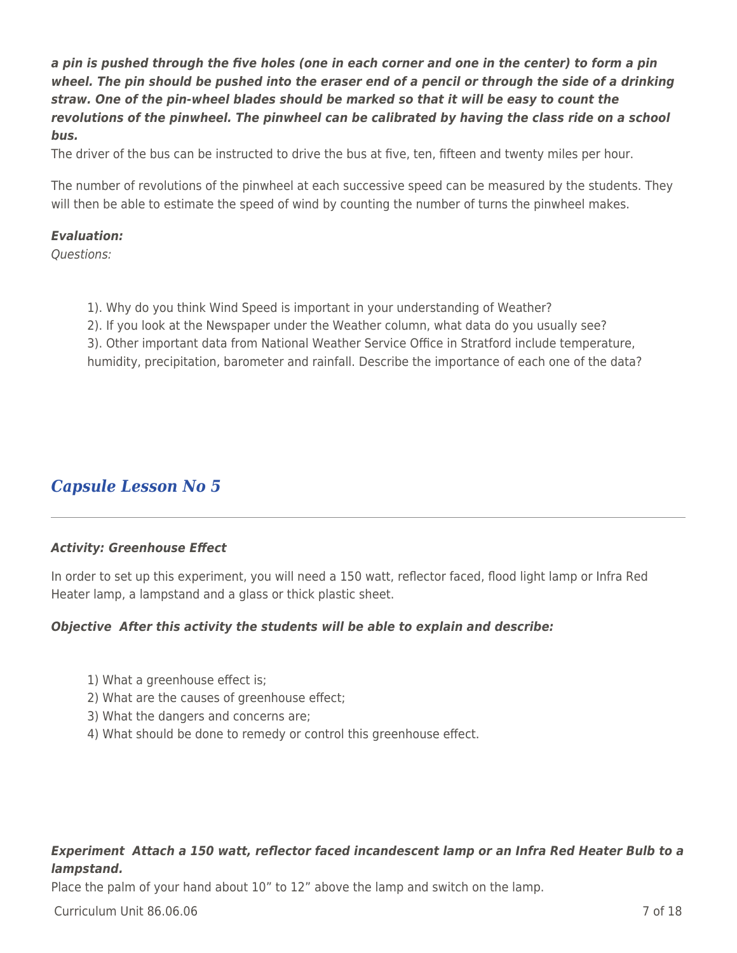*a pin is pushed through the five holes (one in each corner and one in the center) to form a pin wheel. The pin should be pushed into the eraser end of a pencil or through the side of a drinking straw. One of the pin-wheel blades should be marked so that it will be easy to count the revolutions of the pinwheel. The pinwheel can be calibrated by having the class ride on a school bus.*

The driver of the bus can be instructed to drive the bus at five, ten, fifteen and twenty miles per hour.

The number of revolutions of the pinwheel at each successive speed can be measured by the students. They will then be able to estimate the speed of wind by counting the number of turns the pinwheel makes.

#### *Evaluation:*

Questions:

- 1). Why do you think Wind Speed is important in your understanding of Weather?
- 2). If you look at the Newspaper under the Weather column, what data do you usually see?
- 3). Other important data from National Weather Service Office in Stratford include temperature, humidity, precipitation, barometer and rainfall. Describe the importance of each one of the data?

## *Capsule Lesson No 5*

#### *Activity: Greenhouse Effect*

In order to set up this experiment, you will need a 150 watt, reflector faced, flood light lamp or Infra Red Heater lamp, a lampstand and a glass or thick plastic sheet.

#### *Objective After this activity the students will be able to explain and describe:*

- 1) What a greenhouse effect is;
- 2) What are the causes of greenhouse effect;
- 3) What the dangers and concerns are;
- 4) What should be done to remedy or control this greenhouse effect.

### *Experiment Attach a 150 watt, reflector faced incandescent lamp or an Infra Red Heater Bulb to a lampstand.*

Place the palm of your hand about 10" to 12" above the lamp and switch on the lamp.

Curriculum Unit 86.06.06 7 of 18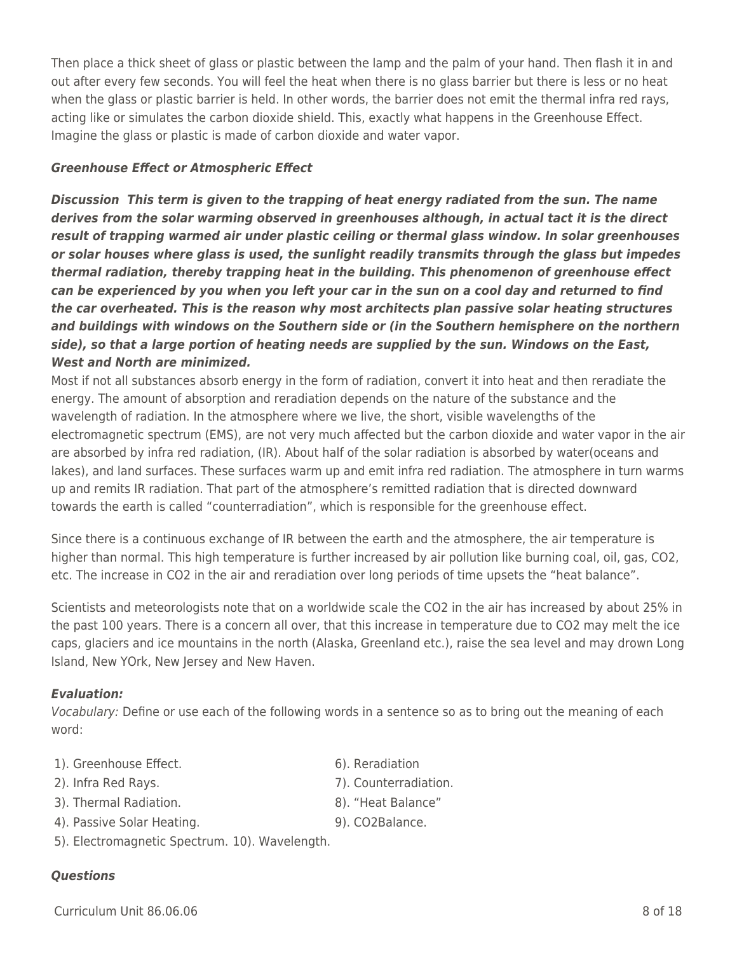Scientists and meteorologists note that on a worldwide scale the CO2 in the air has increased by about 25% in the past 100 years. There is a concern all over, that this increase in temperature due to CO2 may melt the ice caps, glaciers and ice mountains in the north (Alaska, Greenland etc.), raise the sea level and may drown Long

#### *Evaluation:*

Vocabulary: Define or use each of the following words in a sentence so as to bring out the meaning of each word:

- 1). Greenhouse Effect. The contraction of the God in the God in the God in the God in the God in the God in the God in the God in the God in the God in the God in the God in the God in the God in the God in the God in the
- 
- 3). Thermal Radiation. The control of the state and state and state and state and state and state and state and state and state and state and state and state and state and state and state and state and state and state and
- 4). Passive Solar Heating. 9). CO2Balance.
	-
- 5). Electromagnetic Spectrum. 10). Wavelength.

Island, New YOrk, New Jersey and New Haven.

#### *Questions*

 $C$ urriculum Unit 86.06.06  $\overline{8}$  of 18

Then place a thick sheet of glass or plastic between the lamp and the palm of your hand. Then flash it in and out after every few seconds. You will feel the heat when there is no glass barrier but there is less or no heat when the glass or plastic barrier is held. In other words, the barrier does not emit the thermal infra red rays, acting like or simulates the carbon dioxide shield. This, exactly what happens in the Greenhouse Effect. Imagine the glass or plastic is made of carbon dioxide and water vapor.

### *Greenhouse Effect or Atmospheric Effect*

*Discussion This term is given to the trapping of heat energy radiated from the sun. The name derives from the solar warming observed in greenhouses although, in actual tact it is the direct result of trapping warmed air under plastic ceiling or thermal glass window. In solar greenhouses or solar houses where glass is used, the sunlight readily transmits through the glass but impedes thermal radiation, thereby trapping heat in the building. This phenomenon of greenhouse effect can be experienced by you when you left your car in the sun on a cool day and returned to find the car overheated. This is the reason why most architects plan passive solar heating structures and buildings with windows on the Southern side or (in the Southern hemisphere on the northern side), so that a large portion of heating needs are supplied by the sun. Windows on the East, West and North are minimized.*

Most if not all substances absorb energy in the form of radiation, convert it into heat and then reradiate the energy. The amount of absorption and reradiation depends on the nature of the substance and the wavelength of radiation. In the atmosphere where we live, the short, visible wavelengths of the electromagnetic spectrum (EMS), are not very much affected but the carbon dioxide and water vapor in the air are absorbed by infra red radiation, (IR). About half of the solar radiation is absorbed by water(oceans and lakes), and land surfaces. These surfaces warm up and emit infra red radiation. The atmosphere in turn warms up and remits IR radiation. That part of the atmosphere's remitted radiation that is directed downward towards the earth is called "counterradiation", which is responsible for the greenhouse effect.

Since there is a continuous exchange of IR between the earth and the atmosphere, the air temperature is higher than normal. This high temperature is further increased by air pollution like burning coal, oil, gas, CO2, etc. The increase in CO2 in the air and reradiation over long periods of time upsets the "heat balance".

- 2). Infra Red Rays. 2012 12:33 [20] The Tags and The Tags and Tags and Tags and Tags and Tags and Tags and Tags and Tags and Tags and Tags and Tags and Tags and Tags and Tags and Tags and Tags and Tags and Tags and Tags an
	-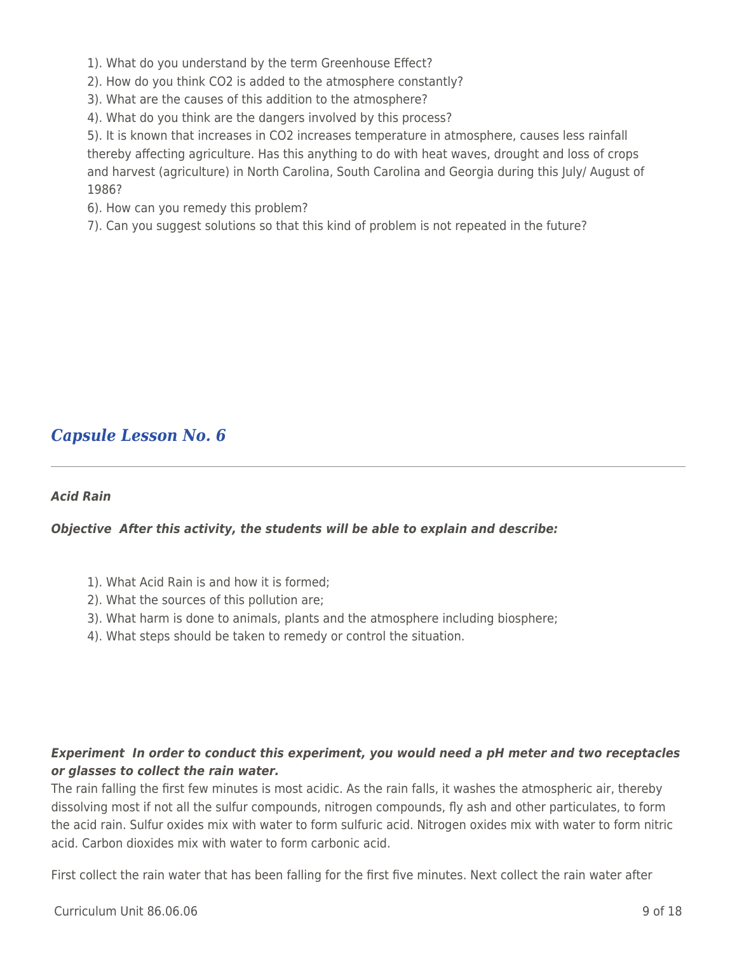1). What do you understand by the term Greenhouse Effect?

2). How do you think CO2 is added to the atmosphere constantly?

3). What are the causes of this addition to the atmosphere?

4). What do you think are the dangers involved by this process?

5). It is known that increases in CO2 increases temperature in atmosphere, causes less rainfall thereby affecting agriculture. Has this anything to do with heat waves, drought and loss of crops and harvest (agriculture) in North Carolina, South Carolina and Georgia during this July/ August of 1986?

6). How can you remedy this problem?

7). Can you suggest solutions so that this kind of problem is not repeated in the future?

## *Capsule Lesson No. 6*

### *Acid Rain*

### *Objective After this activity, the students will be able to explain and describe:*

- 1). What Acid Rain is and how it is formed;
- 2). What the sources of this pollution are;
- 3). What harm is done to animals, plants and the atmosphere including biosphere;
- 4). What steps should be taken to remedy or control the situation.

### *Experiment In order to conduct this experiment, you would need a pH meter and two receptacles or glasses to collect the rain water.*

The rain falling the first few minutes is most acidic. As the rain falls, it washes the atmospheric air, thereby dissolving most if not all the sulfur compounds, nitrogen compounds, fly ash and other particulates, to form the acid rain. Sulfur oxides mix with water to form sulfuric acid. Nitrogen oxides mix with water to form nitric acid. Carbon dioxides mix with water to form carbonic acid.

First collect the rain water that has been falling for the first five minutes. Next collect the rain water after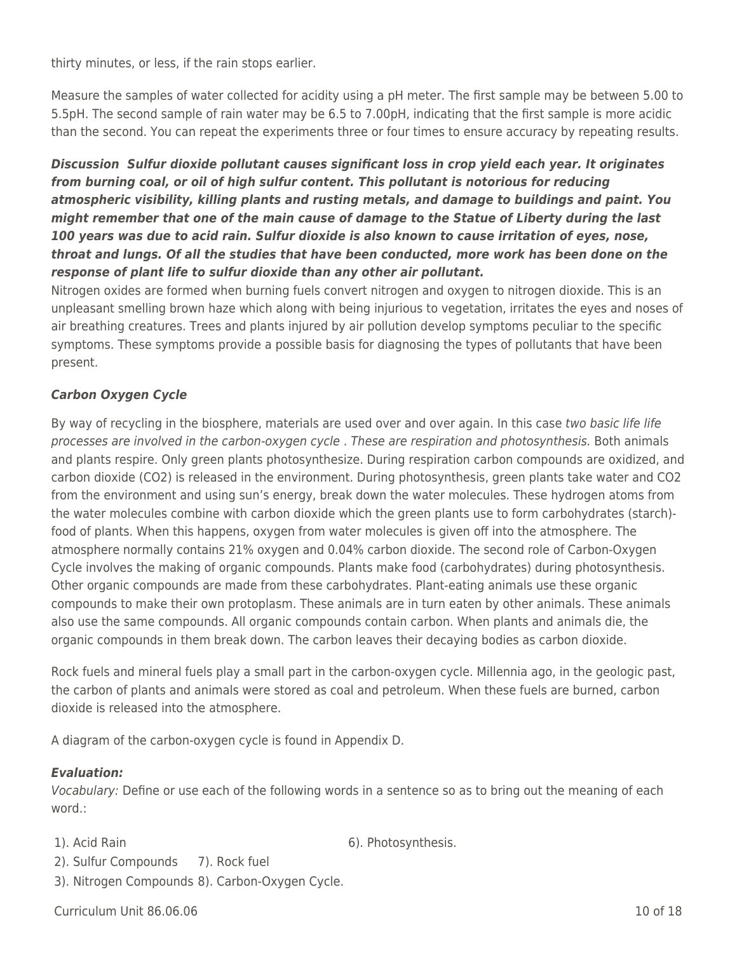thirty minutes, or less, if the rain stops earlier.

Measure the samples of water collected for acidity using a pH meter. The first sample may be between 5.00 to 5.5pH. The second sample of rain water may be 6.5 to 7.00pH, indicating that the first sample is more acidic than the second. You can repeat the experiments three or four times to ensure accuracy by repeating results.

## *Discussion Sulfur dioxide pollutant causes significant loss in crop yield each year. It originates from burning coal, or oil of high sulfur content. This pollutant is notorious for reducing atmospheric visibility, killing plants and rusting metals, and damage to buildings and paint. You might remember that one of the main cause of damage to the Statue of Liberty during the last 100 years was due to acid rain. Sulfur dioxide is also known to cause irritation of eyes, nose, throat and lungs. Of all the studies that have been conducted, more work has been done on the response of plant life to sulfur dioxide than any other air pollutant.*

Nitrogen oxides are formed when burning fuels convert nitrogen and oxygen to nitrogen dioxide. This is an unpleasant smelling brown haze which along with being injurious to vegetation, irritates the eyes and noses of air breathing creatures. Trees and plants injured by air pollution develop symptoms peculiar to the specific symptoms. These symptoms provide a possible basis for diagnosing the types of pollutants that have been present.

## *Carbon Oxygen Cycle*

By way of recycling in the biosphere, materials are used over and over again. In this case two basic life life processes are involved in the carbon-oxygen cycle . These are respiration and photosynthesis. Both animals and plants respire. Only green plants photosynthesize. During respiration carbon compounds are oxidized, and carbon dioxide (CO2) is released in the environment. During photosynthesis, green plants take water and CO2 from the environment and using sun's energy, break down the water molecules. These hydrogen atoms from the water molecules combine with carbon dioxide which the green plants use to form carbohydrates (starch) food of plants. When this happens, oxygen from water molecules is given off into the atmosphere. The atmosphere normally contains 21% oxygen and 0.04% carbon dioxide. The second role of Carbon-Oxygen Cycle involves the making of organic compounds. Plants make food (carbohydrates) during photosynthesis. Other organic compounds are made from these carbohydrates. Plant-eating animals use these organic compounds to make their own protoplasm. These animals are in turn eaten by other animals. These animals also use the same compounds. All organic compounds contain carbon. When plants and animals die, the organic compounds in them break down. The carbon leaves their decaying bodies as carbon dioxide.

Rock fuels and mineral fuels play a small part in the carbon-oxygen cycle. Millennia ago, in the geologic past, the carbon of plants and animals were stored as coal and petroleum. When these fuels are burned, carbon dioxide is released into the atmosphere.

A diagram of the carbon-oxygen cycle is found in Appendix D.

#### *Evaluation:*

Vocabulary: Define or use each of the following words in a sentence so as to bring out the meaning of each word.:

- 
- 1). Acid Rain 6). Photosynthesis.
- 2). Sulfur Compounds 7). Rock fuel
- 3). Nitrogen Compounds 8). Carbon-Oxygen Cycle.

Curriculum Unit 86.06.06 10 of 18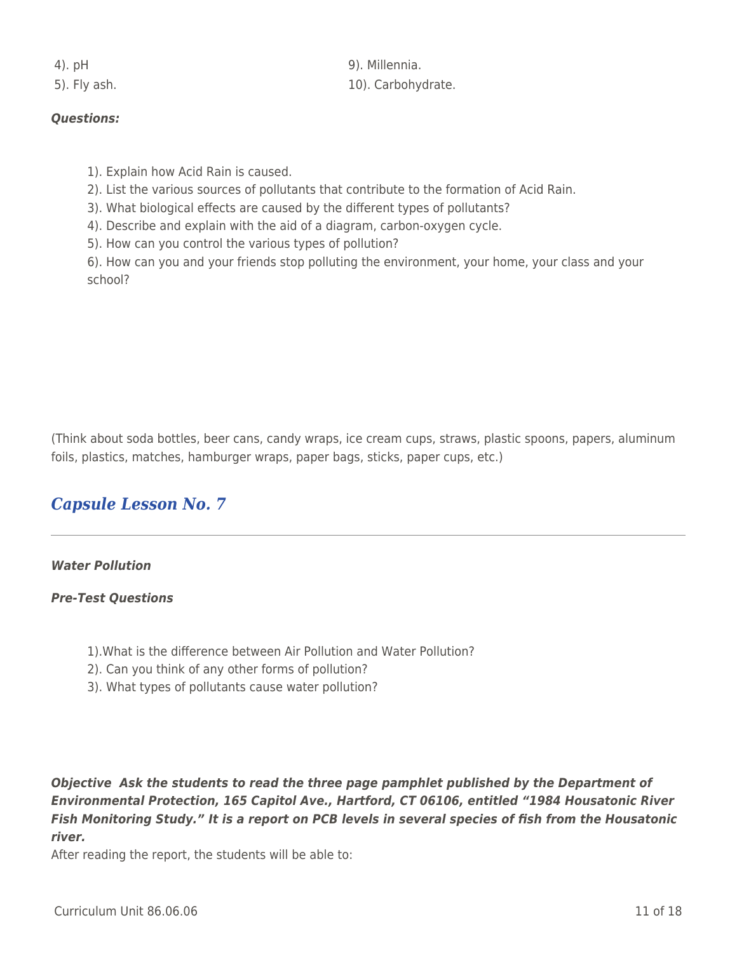4). pH 9). Millennia. 5). Fly ash. 2001 2012 10. Carbohydrate.

### *Questions:*

- 1). Explain how Acid Rain is caused.
- 2). List the various sources of pollutants that contribute to the formation of Acid Rain.
- 3). What biological effects are caused by the different types of pollutants?
- 4). Describe and explain with the aid of a diagram, carbon-oxygen cycle.
- 5). How can you control the various types of pollution?

6). How can you and your friends stop polluting the environment, your home, your class and your school?

(Think about soda bottles, beer cans, candy wraps, ice cream cups, straws, plastic spoons, papers, aluminum foils, plastics, matches, hamburger wraps, paper bags, sticks, paper cups, etc.)

## *Capsule Lesson No. 7*

### *Water Pollution*

#### *Pre-Test Questions*

- 1).What is the difference between Air Pollution and Water Pollution?
- 2). Can you think of any other forms of pollution?
- 3). What types of pollutants cause water pollution?

*Objective Ask the students to read the three page pamphlet published by the Department of Environmental Protection, 165 Capitol Ave., Hartford, CT 06106, entitled "1984 Housatonic River Fish Monitoring Study." It is a report on PCB levels in several species of fish from the Housatonic river.*

After reading the report, the students will be able to: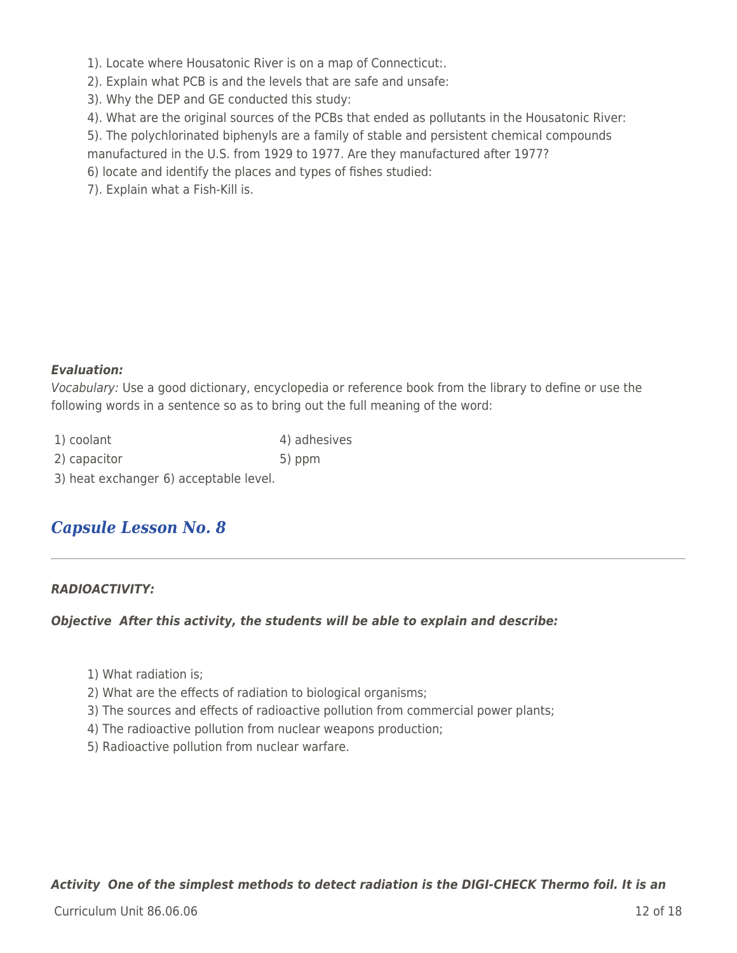1). Locate where Housatonic River is on a map of Connecticut:.

2). Explain what PCB is and the levels that are safe and unsafe:

3). Why the DEP and GE conducted this study:

4). What are the original sources of the PCBs that ended as pollutants in the Housatonic River:

5). The polychlorinated biphenyls are a family of stable and persistent chemical compounds

manufactured in the U.S. from 1929 to 1977. Are they manufactured after 1977?

- 6) locate and identify the places and types of fishes studied:
- 7). Explain what a Fish-Kill is.

### *Evaluation:*

Vocabulary: Use a good dictionary, encyclopedia or reference book from the library to define or use the following words in a sentence so as to bring out the full meaning of the word:

| 1) coolant   | 4) adhesives |
|--------------|--------------|
| 2) capacitor | $5)$ ppm     |

3) heat exchanger 6) acceptable level.

# *Capsule Lesson No. 8*

### *RADIOACTIVITY:*

#### *Objective After this activity, the students will be able to explain and describe:*

- 1) What radiation is;
- 2) What are the effects of radiation to biological organisms;
- 3) The sources and effects of radioactive pollution from commercial power plants;
- 4) The radioactive pollution from nuclear weapons production;
- 5) Radioactive pollution from nuclear warfare.

*Activity One of the simplest methods to detect radiation is the DIGI-CHECK Thermo foil. It is an*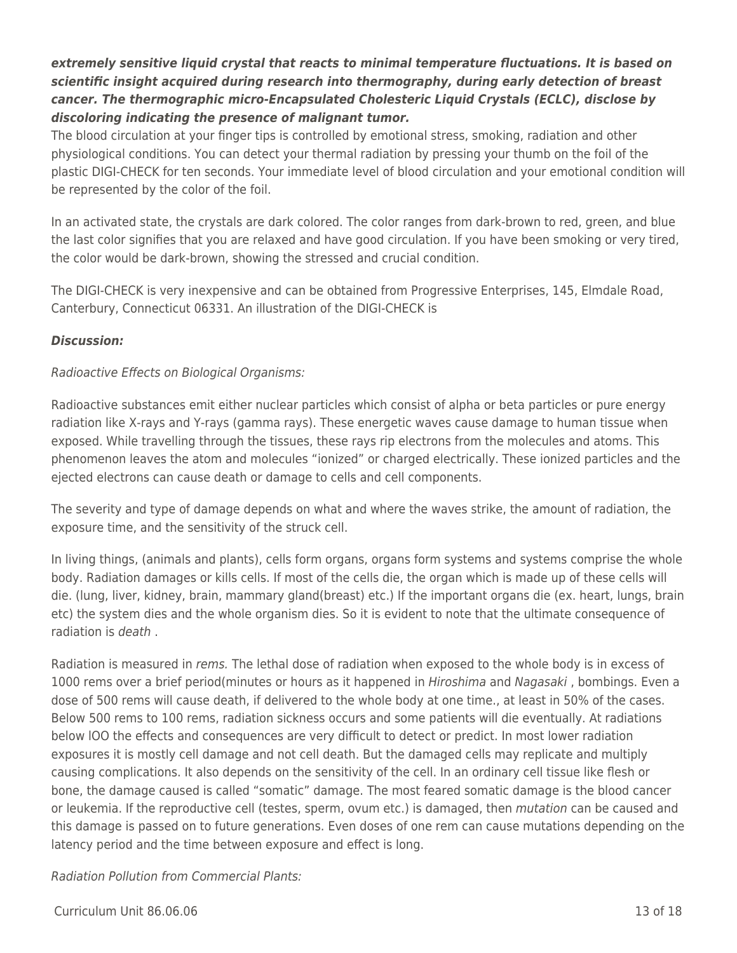## *extremely sensitive liquid crystal that reacts to minimal temperature fluctuations. It is based on scientific insight acquired during research into thermography, during early detection of breast cancer. The thermographic micro-Encapsulated Cholesteric Liquid Crystals (ECLC), disclose by discoloring indicating the presence of malignant tumor.*

The blood circulation at your finger tips is controlled by emotional stress, smoking, radiation and other physiological conditions. You can detect your thermal radiation by pressing your thumb on the foil of the plastic DIGI-CHECK for ten seconds. Your immediate level of blood circulation and your emotional condition will be represented by the color of the foil.

In an activated state, the crystals are dark colored. The color ranges from dark-brown to red, green, and blue the last color signifies that you are relaxed and have good circulation. If you have been smoking or very tired, the color would be dark-brown, showing the stressed and crucial condition.

The DIGI-CHECK is very inexpensive and can be obtained from Progressive Enterprises, 145, Elmdale Road, Canterbury, Connecticut 06331. An illustration of the DIGI-CHECK is

### *Discussion:*

### Radioactive Effects on Biological Organisms:

Radioactive substances emit either nuclear particles which consist of alpha or beta particles or pure energy radiation like X-rays and Y-rays (gamma rays). These energetic waves cause damage to human tissue when exposed. While travelling through the tissues, these rays rip electrons from the molecules and atoms. This phenomenon leaves the atom and molecules "ionized" or charged electrically. These ionized particles and the ejected electrons can cause death or damage to cells and cell components.

The severity and type of damage depends on what and where the waves strike, the amount of radiation, the exposure time, and the sensitivity of the struck cell.

In living things, (animals and plants), cells form organs, organs form systems and systems comprise the whole body. Radiation damages or kills cells. If most of the cells die, the organ which is made up of these cells will die. (lung, liver, kidney, brain, mammary gland(breast) etc.) If the important organs die (ex. heart, lungs, brain etc) the system dies and the whole organism dies. So it is evident to note that the ultimate consequence of radiation is death .

Radiation is measured in *rems.* The lethal dose of radiation when exposed to the whole body is in excess of 1000 rems over a brief period(minutes or hours as it happened in *Hiroshima* and Nagasaki, bombings. Even a dose of 500 rems will cause death, if delivered to the whole body at one time., at least in 50% of the cases. Below 500 rems to 100 rems, radiation sickness occurs and some patients will die eventually. At radiations below lOO the effects and consequences are very difficult to detect or predict. In most lower radiation exposures it is mostly cell damage and not cell death. But the damaged cells may replicate and multiply causing complications. It also depends on the sensitivity of the cell. In an ordinary cell tissue like flesh or bone, the damage caused is called "somatic" damage. The most feared somatic damage is the blood cancer or leukemia. If the reproductive cell (testes, sperm, ovum etc.) is damaged, then mutation can be caused and this damage is passed on to future generations. Even doses of one rem can cause mutations depending on the latency period and the time between exposure and effect is long.

Radiation Pollution from Commercial Plants: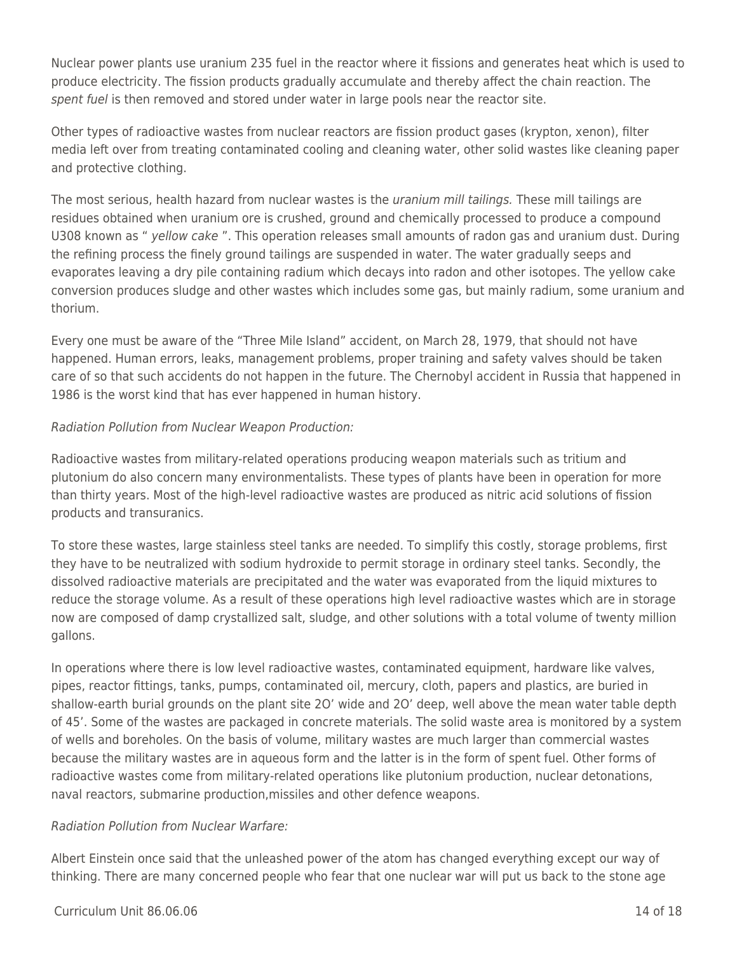Nuclear power plants use uranium 235 fuel in the reactor where it fissions and generates heat which is used to produce electricity. The fission products gradually accumulate and thereby affect the chain reaction. The spent fuel is then removed and stored under water in large pools near the reactor site.

Other types of radioactive wastes from nuclear reactors are fission product gases (krypton, xenon), filter media left over from treating contaminated cooling and cleaning water, other solid wastes like cleaning paper and protective clothing.

The most serious, health hazard from nuclear wastes is the *uranium mill tailings*. These mill tailings are residues obtained when uranium ore is crushed, ground and chemically processed to produce a compound U308 known as " yellow cake ". This operation releases small amounts of radon gas and uranium dust. During the refining process the finely ground tailings are suspended in water. The water gradually seeps and evaporates leaving a dry pile containing radium which decays into radon and other isotopes. The yellow cake conversion produces sludge and other wastes which includes some gas, but mainly radium, some uranium and thorium.

Every one must be aware of the "Three Mile Island" accident, on March 28, 1979, that should not have happened. Human errors, leaks, management problems, proper training and safety valves should be taken care of so that such accidents do not happen in the future. The Chernobyl accident in Russia that happened in 1986 is the worst kind that has ever happened in human history.

### Radiation Pollution from Nuclear Weapon Production:

Radioactive wastes from military-related operations producing weapon materials such as tritium and plutonium do also concern many environmentalists. These types of plants have been in operation for more than thirty years. Most of the high-level radioactive wastes are produced as nitric acid solutions of fission products and transuranics.

To store these wastes, large stainless steel tanks are needed. To simplify this costly, storage problems, first they have to be neutralized with sodium hydroxide to permit storage in ordinary steel tanks. Secondly, the dissolved radioactive materials are precipitated and the water was evaporated from the liquid mixtures to reduce the storage volume. As a result of these operations high level radioactive wastes which are in storage now are composed of damp crystallized salt, sludge, and other solutions with a total volume of twenty million gallons.

In operations where there is low level radioactive wastes, contaminated equipment, hardware like valves, pipes, reactor fittings, tanks, pumps, contaminated oil, mercury, cloth, papers and plastics, are buried in shallow-earth burial grounds on the plant site 2O' wide and 2O' deep, well above the mean water table depth of 45'. Some of the wastes are packaged in concrete materials. The solid waste area is monitored by a system of wells and boreholes. On the basis of volume, military wastes are much larger than commercial wastes because the military wastes are in aqueous form and the latter is in the form of spent fuel. Other forms of radioactive wastes come from military-related operations like plutonium production, nuclear detonations, naval reactors, submarine production,missiles and other defence weapons.

### Radiation Pollution from Nuclear Warfare:

Albert Einstein once said that the unleashed power of the atom has changed everything except our way of thinking. There are many concerned people who fear that one nuclear war will put us back to the stone age

### Curriculum Unit 86.06.06 14 of 18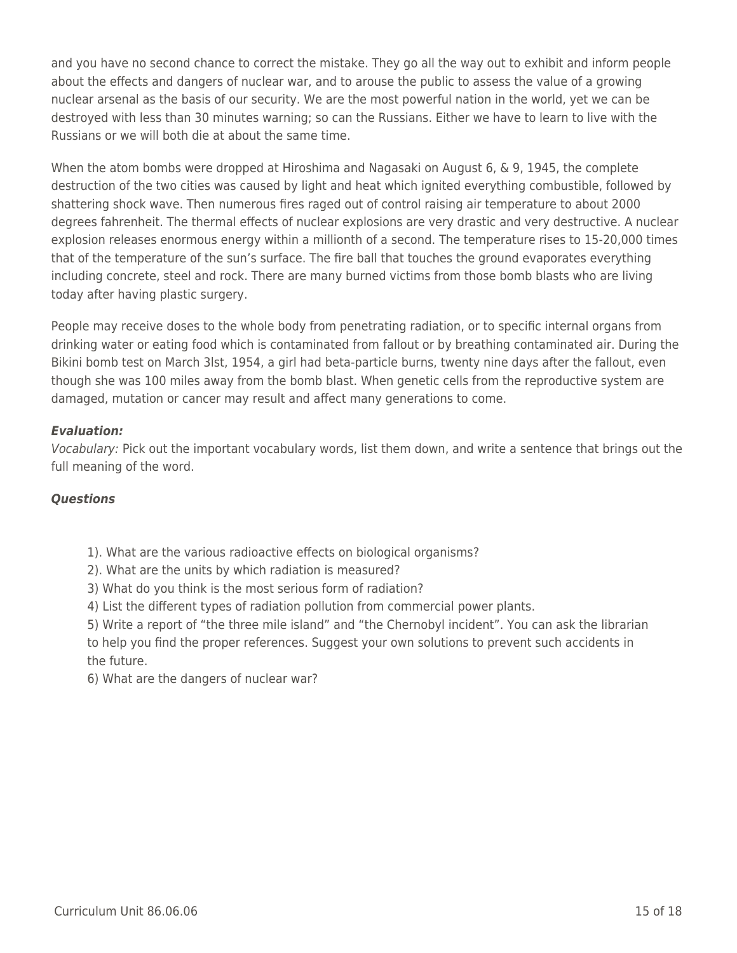and you have no second chance to correct the mistake. They go all the way out to exhibit and inform people about the effects and dangers of nuclear war, and to arouse the public to assess the value of a growing nuclear arsenal as the basis of our security. We are the most powerful nation in the world, yet we can be destroyed with less than 30 minutes warning; so can the Russians. Either we have to learn to live with the Russians or we will both die at about the same time.

When the atom bombs were dropped at Hiroshima and Nagasaki on August 6, & 9, 1945, the complete destruction of the two cities was caused by light and heat which ignited everything combustible, followed by shattering shock wave. Then numerous fires raged out of control raising air temperature to about 2000 degrees fahrenheit. The thermal effects of nuclear explosions are very drastic and very destructive. A nuclear explosion releases enormous energy within a millionth of a second. The temperature rises to 15-20,000 times that of the temperature of the sun's surface. The fire ball that touches the ground evaporates everything including concrete, steel and rock. There are many burned victims from those bomb blasts who are living today after having plastic surgery.

People may receive doses to the whole body from penetrating radiation, or to specific internal organs from drinking water or eating food which is contaminated from fallout or by breathing contaminated air. During the Bikini bomb test on March 3lst, 1954, a girl had beta-particle burns, twenty nine days after the fallout, even though she was 100 miles away from the bomb blast. When genetic cells from the reproductive system are damaged, mutation or cancer may result and affect many generations to come.

### *Evaluation:*

Vocabulary: Pick out the important vocabulary words, list them down, and write a sentence that brings out the full meaning of the word.

#### *Questions*

- 1). What are the various radioactive effects on biological organisms?
- 2). What are the units by which radiation is measured?
- 3) What do you think is the most serious form of radiation?
- 4) List the different types of radiation pollution from commercial power plants.

5) Write a report of "the three mile island" and "the Chernobyl incident". You can ask the librarian to help you find the proper references. Suggest your own solutions to prevent such accidents in the future.

6) What are the dangers of nuclear war?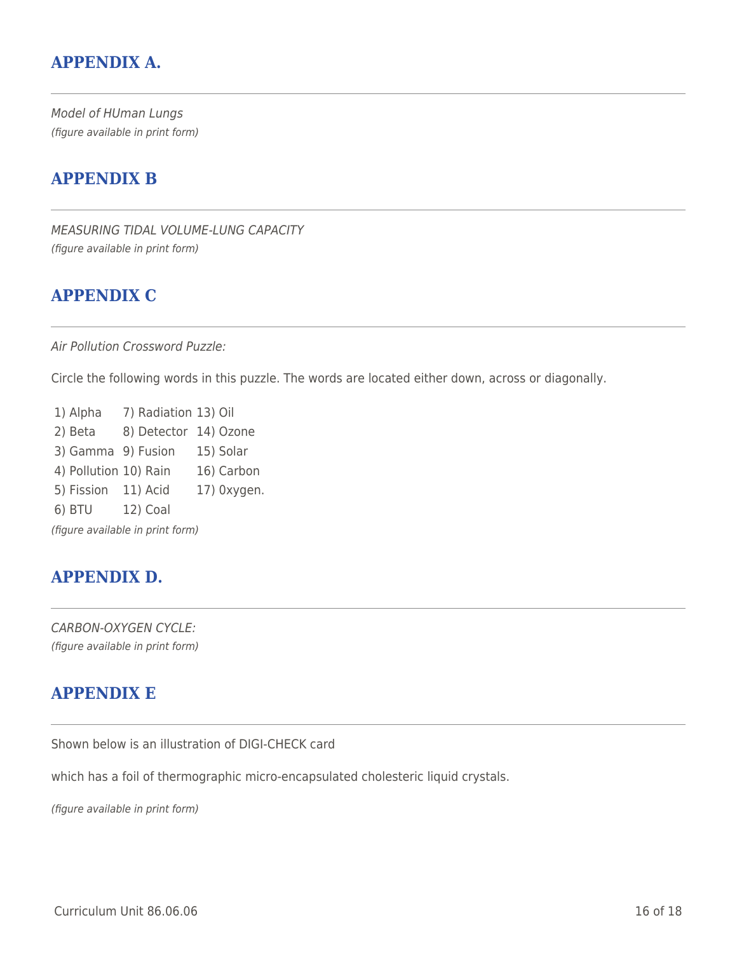## **APPENDIX A.**

Model of HUman Lungs (figure available in print form)

## **APPENDIX B**

MEASURING TIDAL VOLUME-LUNG CAPACITY (figure available in print form)

## **APPENDIX C**

Air Pollution Crossword Puzzle:

Circle the following words in this puzzle. The words are located either down, across or diagonally.

1) Alpha 7) Radiation 13) Oil 2) Beta 8) Detector 14) Ozone 3) Gamma 9) Fusion 15) Solar 4) Pollution 10) Rain 16) Carbon 5) Fission 11) Acid 17) 0xygen. 6) BTU 12) Coal (figure available in print form)

## **APPENDIX D.**

CARBON-OXYGEN CYCLE: (figure available in print form)

# **APPENDIX E**

Shown below is an illustration of DIGI-CHECK card

which has a foil of thermographic micro-encapsulated cholesteric liquid crystals.

(figure available in print form)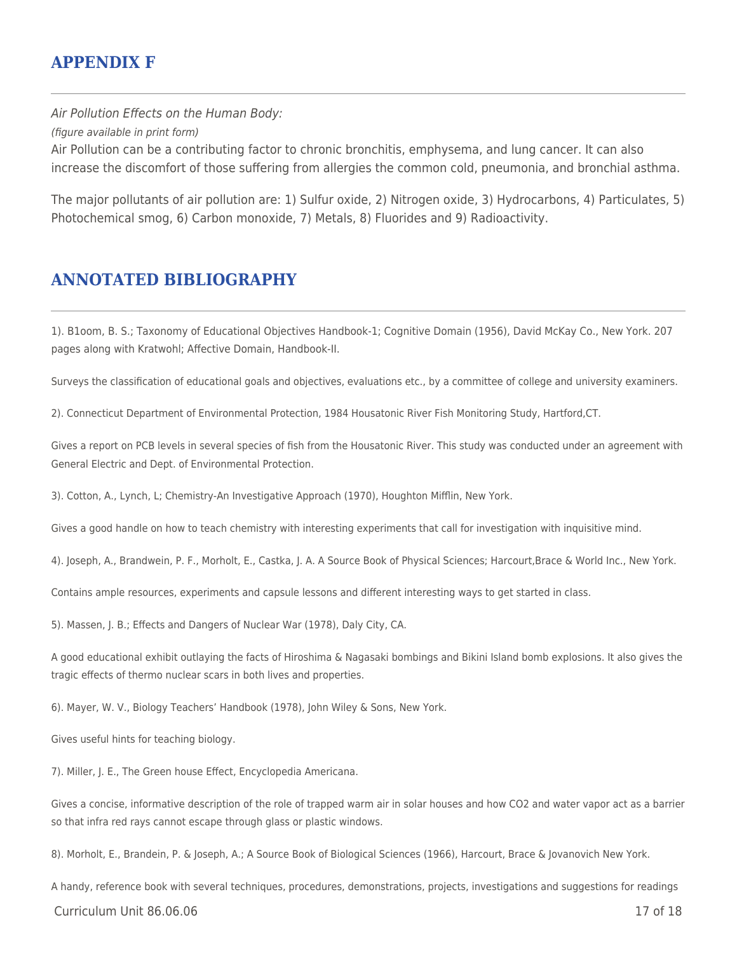## **APPENDIX F**

Air Pollution Effects on the Human Body: (figure available in print form) Air Pollution can be a contributing factor to chronic bronchitis, emphysema, and lung cancer. It can also increase the discomfort of those suffering from allergies the common cold, pneumonia, and bronchial asthma.

The major pollutants of air pollution are: 1) Sulfur oxide, 2) Nitrogen oxide, 3) Hydrocarbons, 4) Particulates, 5) Photochemical smog, 6) Carbon monoxide, 7) Metals, 8) Fluorides and 9) Radioactivity.

## **ANNOTATED BIBLIOGRAPHY**

1). B1oom, B. S.; Taxonomy of Educational Objectives Handbook-1; Cognitive Domain (1956), David McKay Co., New York. 207 pages along with Kratwohl; Affective Domain, Handbook-II.

Surveys the classification of educational goals and objectives, evaluations etc., by a committee of college and university examiners.

2). Connecticut Department of Environmental Protection, 1984 Housatonic River Fish Monitoring Study, Hartford,CT.

Gives a report on PCB levels in several species of fish from the Housatonic River. This study was conducted under an agreement with General Electric and Dept. of Environmental Protection.

3). Cotton, A., Lynch, L; Chemistry-An Investigative Approach (1970), Houghton Mifflin, New York.

Gives a good handle on how to teach chemistry with interesting experiments that call for investigation with inquisitive mind.

4). Joseph, A., Brandwein, P. F., Morholt, E., Castka, J. A. A Source Book of Physical Sciences; Harcourt,Brace & World Inc., New York.

Contains ample resources, experiments and capsule lessons and different interesting ways to get started in class.

5). Massen, J. B.; Effects and Dangers of Nuclear War (1978), Daly City, CA.

A good educational exhibit outlaying the facts of Hiroshima & Nagasaki bombings and Bikini Island bomb explosions. It also gives the tragic effects of thermo nuclear scars in both lives and properties.

6). Mayer, W. V., Biology Teachers' Handbook (1978), John Wiley & Sons, New York.

Gives useful hints for teaching biology.

7). Miller, J. E., The Green house Effect, Encyclopedia Americana.

Gives a concise, informative description of the role of trapped warm air in solar houses and how CO2 and water vapor act as a barrier so that infra red rays cannot escape through glass or plastic windows.

8). Morholt, E., Brandein, P. & Joseph, A.; A Source Book of Biological Sciences (1966), Harcourt, Brace & Jovanovich New York.

A handy, reference book with several techniques, procedures, demonstrations, projects, investigations and suggestions for readings

Curriculum Unit 86.06.06 17 of 18